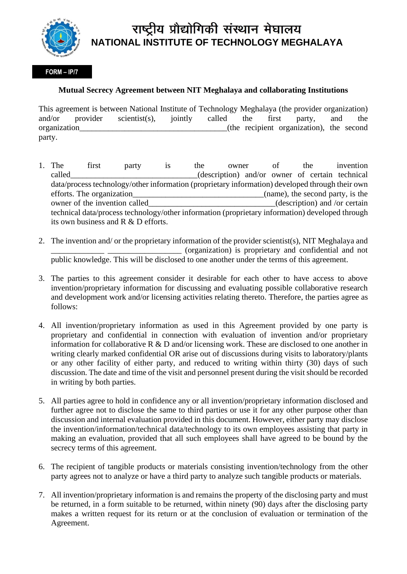

## राष्ट्रीय प्रौद्योगिकी संस्थान मेघालय **NATIONAL INSTITUTE OF TECHNOLOGY MEGHALAYA**

## **FORM – IP/7**

## **Mutual Secrecy Agreement between NIT Meghalaya and collaborating Institutions**

This agreement is between National Institute of Technology Meghalaya (the provider organization) and/or provider scientist(s), jointly called the first party, and the organization\_\_\_\_\_\_\_\_\_\_\_\_\_\_\_\_\_\_\_\_\_\_\_\_\_\_\_\_\_\_\_\_\_\_\_\_(the recipient organization), the second party.

- 1. The first party is the owner of the invention called (description) and/or owner of certain technical data/process technology/other information (proprietary information) developed through their own efforts. The organization efforts are example of  $(name)$ , the second party, is the owner of the invention called (description) and /or certain technical data/process technology/other information (proprietary information) developed through its own business and R & D efforts.
- 2. The invention and/ or the proprietary information of the provider scientist(s), NIT Meghalaya and \_\_\_\_\_\_\_\_\_\_\_\_\_ \_\_\_\_\_\_\_\_\_\_\_\_\_\_\_\_\_\_ (organization) is proprietary and confidential and not public knowledge. This will be disclosed to one another under the terms of this agreement.
- 3. The parties to this agreement consider it desirable for each other to have access to above invention/proprietary information for discussing and evaluating possible collaborative research and development work and/or licensing activities relating thereto. Therefore, the parties agree as follows:
- 4. All invention/proprietary information as used in this Agreement provided by one party is proprietary and confidential in connection with evaluation of invention and/or proprietary information for collaborative R & D and/or licensing work. These are disclosed to one another in writing clearly marked confidential OR arise out of discussions during visits to laboratory/plants or any other facility of either party, and reduced to writing within thirty (30) days of such discussion. The date and time of the visit and personnel present during the visit should be recorded in writing by both parties.
- 5. All parties agree to hold in confidence any or all invention/proprietary information disclosed and further agree not to disclose the same to third parties or use it for any other purpose other than discussion and internal evaluation provided in this document. However, either party may disclose the invention/information/technical data/technology to its own employees assisting that party in making an evaluation, provided that all such employees shall have agreed to be bound by the secrecy terms of this agreement.
- 6. The recipient of tangible products or materials consisting invention/technology from the other party agrees not to analyze or have a third party to analyze such tangible products or materials.
- 7. All invention/proprietary information is and remains the property of the disclosing party and must be returned, in a form suitable to be returned, within ninety (90) days after the disclosing party makes a written request for its return or at the conclusion of evaluation or termination of the Agreement.